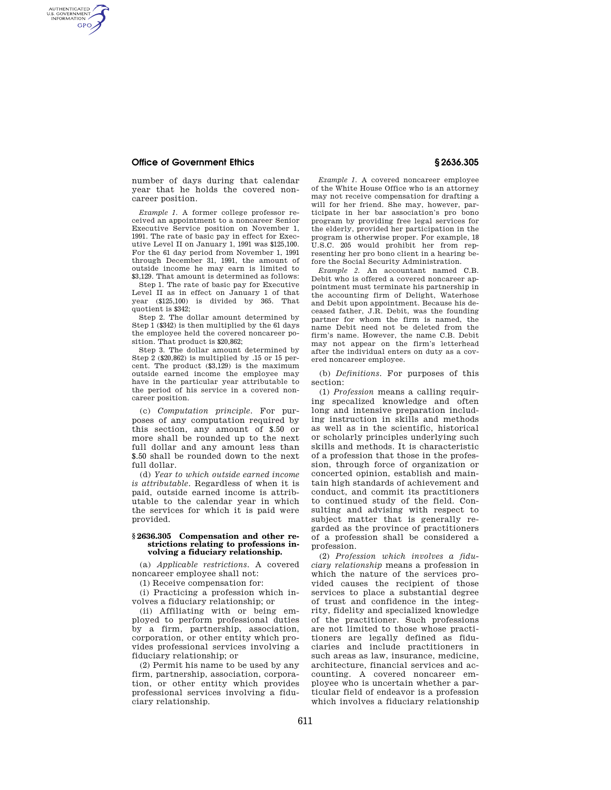## **Office of Government Ethics § 2636.305**

AUTHENTICATED<br>U.S. GOVERNMENT<br>INFORMATION **GPO** 

> number of days during that calendar year that he holds the covered noncareer position.

> *Example 1.* A former college professor received an appointment to a noncareer Senior Executive Service position on November 1, 1991. The rate of basic pay in effect for Executive Level II on January 1, 1991 was \$125,100. For the 61 day period from November 1, 1991 through December 31, 1991, the amount of outside income he may earn is limited to \$3,129. That amount is determined as follows:

> Step 1. The rate of basic pay for Executive Level II as in effect on January 1 of that year (\$125,100) is divided by 365. That quotient is \$342;

> Step 2. The dollar amount determined by Step 1 (\$342) is then multiplied by the 61 days the employee held the covered noncareer position. That product is \$20,862;

> Step 3. The dollar amount determined by Step 2 (\$20,862) is multiplied by .15 or 15 percent. The product (\$3,129) is the maximum outside earned income the employee may have in the particular year attributable to the period of his service in a covered noncareer position.

> (c) *Computation principle.* For purposes of any computation required by this section, any amount of \$.50 or more shall be rounded up to the next full dollar and any amount less than \$.50 shall be rounded down to the next full dollar.

> (d) *Year to which outside earned income is attributable.* Regardless of when it is paid, outside earned income is attributable to the calendar year in which the services for which it is paid were provided.

#### **§ 2636.305 Compensation and other restrictions relating to professions involving a fiduciary relationship.**

(a) *Applicable restrictions.* A covered noncareer employee shall not:

(1) Receive compensation for:

(i) Practicing a profession which involves a fiduciary relationship; or

(ii) Affiliating with or being employed to perform professional duties by a firm, partnership, association, corporation, or other entity which provides professional services involving a fiduciary relationship; or

(2) Permit his name to be used by any firm, partnership, association, corporation, or other entity which provides professional services involving a fiduciary relationship.

*Example 1.* A covered noncareer employee of the White House Office who is an attorney may not receive compensation for drafting a will for her friend. She may, however, participate in her bar association's pro bono program by providing free legal services for the elderly, provided her participation in the program is otherwise proper. For example, 18 U.S.C. 205 would prohibit her from representing her pro bono client in a hearing before the Social Security Administration.

*Example 2.* An accountant named C.B. Debit who is offered a covered noncareer appointment must terminate his partnership in the accounting firm of Delight, Waterhose and Debit upon appointment. Because his deceased father, J.R. Debit, was the founding partner for whom the firm is named, the name Debit need not be deleted from the firm's name. However, the name C.B. Debit may not appear on the firm's letterhead after the individual enters on duty as a covered noncareer employee.

(b) *Definitions.* For purposes of this section:

(1) *Profession* means a calling requiring specalized knowledge and often long and intensive preparation including instruction in skills and methods as well as in the scientific, historical or scholarly principles underlying such skills and methods. It is characteristic of a profession that those in the profession, through force of organization or concerted opinion, establish and maintain high standards of achievement and conduct, and commit its practitioners to continued study of the field. Consulting and advising with respect to subject matter that is generally regarded as the province of practitioners of a profession shall be considered a profession.

(2) *Profession which involves a fiduciary relationship* means a profession in which the nature of the services provided causes the recipient of those services to place a substantial degree of trust and confidence in the integrity, fidelity and specialized knowledge of the practitioner. Such professions are not limited to those whose practitioners are legally defined as fiduciaries and include practitioners in such areas as law, insurance, medicine, architecture, financial services and accounting. A covered noncareer employee who is uncertain whether a particular field of endeavor is a profession which involves a fiduciary relationship